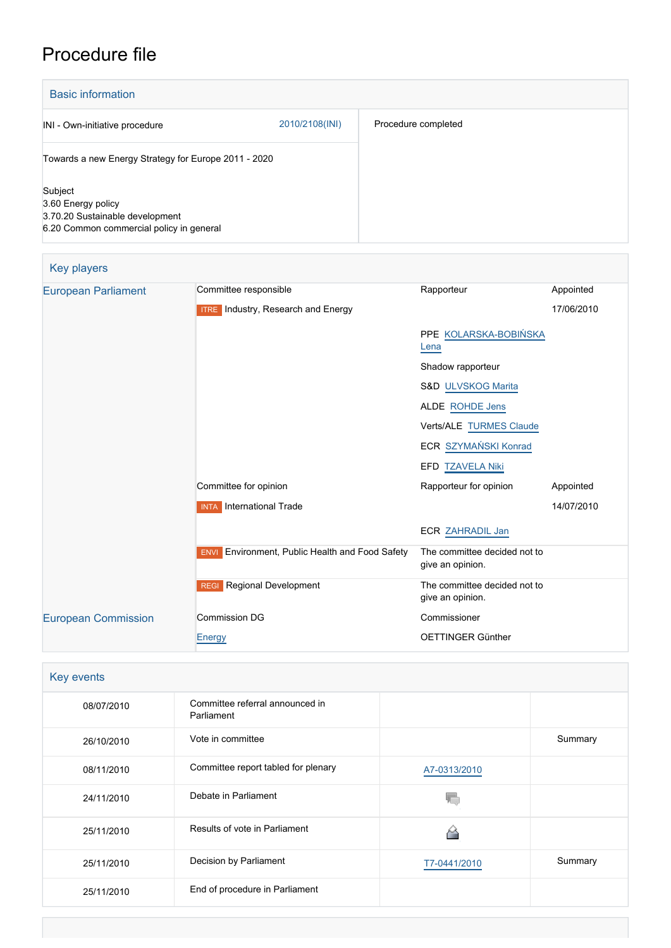# Procedure file

| <b>Basic information</b>                                                                                     |                |                     |  |  |
|--------------------------------------------------------------------------------------------------------------|----------------|---------------------|--|--|
| INI - Own-initiative procedure                                                                               | 2010/2108(INI) | Procedure completed |  |  |
| Towards a new Energy Strategy for Europe 2011 - 2020                                                         |                |                     |  |  |
| Subject<br>3.60 Energy policy<br>3.70.20 Sustainable development<br>6.20 Common commercial policy in general |                |                     |  |  |

| <b>Key players</b>         |                                                           |                                                  |            |  |
|----------------------------|-----------------------------------------------------------|--------------------------------------------------|------------|--|
| <b>European Parliament</b> | Committee responsible                                     | Rapporteur                                       | Appointed  |  |
|                            | <b>ITRE</b> Industry, Research and Energy                 |                                                  | 17/06/2010 |  |
|                            |                                                           | PPE KOLARSKA-BOBIŃSKA<br>Lena                    |            |  |
|                            |                                                           | Shadow rapporteur                                |            |  |
|                            |                                                           | S&D ULVSKOG Marita                               |            |  |
|                            |                                                           | ALDE ROHDE Jens                                  |            |  |
|                            |                                                           | Verts/ALE TURMES Claude                          |            |  |
|                            |                                                           | ECR SZYMAŃSKI Konrad                             |            |  |
|                            |                                                           | EFD TZAVELA Niki                                 |            |  |
|                            | Committee for opinion                                     | Rapporteur for opinion                           | Appointed  |  |
|                            | <b>INTA</b> International Trade                           |                                                  | 14/07/2010 |  |
|                            |                                                           | <b>ECR ZAHRADIL Jan</b>                          |            |  |
|                            | Environment, Public Health and Food Safety<br><b>ENVI</b> | The committee decided not to<br>give an opinion. |            |  |
|                            | Regional Development<br><b>REGI</b>                       | The committee decided not to<br>give an opinion. |            |  |
| <b>European Commission</b> | <b>Commission DG</b>                                      | Commissioner                                     |            |  |
|                            | <b>Energy</b>                                             | OETTINGER Günther                                |            |  |

| Key events |                                               |              |         |
|------------|-----------------------------------------------|--------------|---------|
| 08/07/2010 | Committee referral announced in<br>Parliament |              |         |
| 26/10/2010 | Vote in committee                             |              | Summary |
| 08/11/2010 | Committee report tabled for plenary           | A7-0313/2010 |         |
| 24/11/2010 | Debate in Parliament                          |              |         |
| 25/11/2010 | Results of vote in Parliament                 |              |         |
| 25/11/2010 | Decision by Parliament                        | T7-0441/2010 | Summary |
| 25/11/2010 | End of procedure in Parliament                |              |         |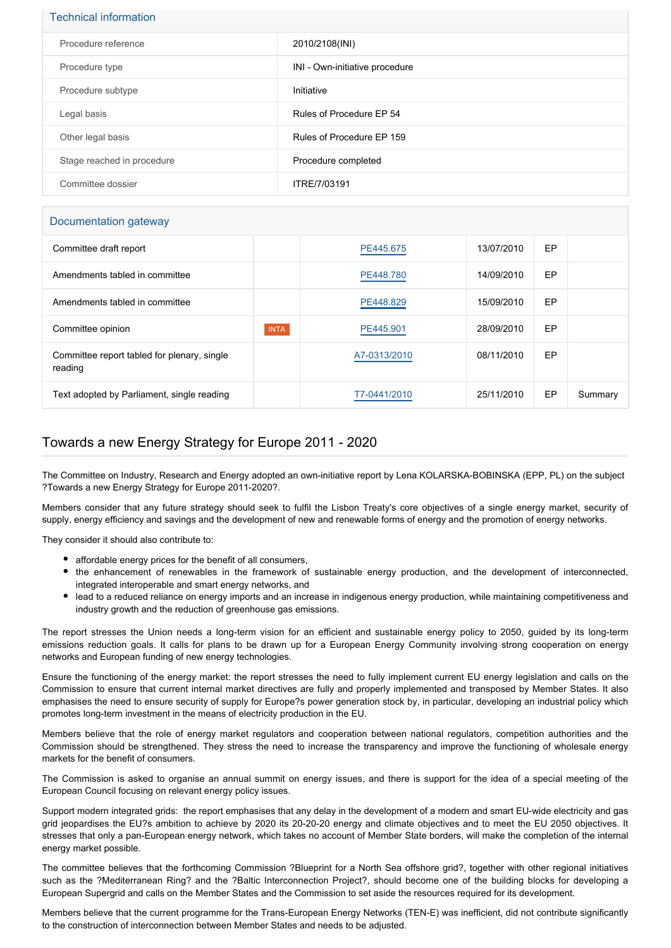#### Technical information

| Procedure reference        | 2010/2108(INI)                 |
|----------------------------|--------------------------------|
| Procedure type             | INI - Own-initiative procedure |
| Procedure subtype          | Initiative                     |
| Legal basis                | Rules of Procedure EP 54       |
| Other legal basis          | Rules of Procedure EP 159      |
| Stage reached in procedure | Procedure completed            |
| Committee dossier          | ITRE/7/03191                   |

### Documentation gateway

| Committee draft report                                 |             | PE445.675    | 13/07/2010 | EP |         |
|--------------------------------------------------------|-------------|--------------|------------|----|---------|
| Amendments tabled in committee                         |             | PE448.780    | 14/09/2010 | EP |         |
| Amendments tabled in committee                         |             | PE448.829    | 15/09/2010 | EP |         |
| Committee opinion                                      | <b>INTA</b> | PE445.901    | 28/09/2010 | EP |         |
| Committee report tabled for plenary, single<br>reading |             | A7-0313/2010 | 08/11/2010 | EP |         |
| Text adopted by Parliament, single reading             |             | T7-0441/2010 | 25/11/2010 | EP | Summary |

## Towards a new Energy Strategy for Europe 2011 - 2020

The Committee on Industry, Research and Energy adopted an own-initiative report by Lena KOLARSKA-BOBINSKA (EPP, PL) on the subject ?Towards a new Energy Strategy for Europe 2011-2020?.

Members consider that any future strategy should seek to fulfil the Lisbon Treaty's core objectives of a single energy market, security of supply, energy efficiency and savings and the development of new and renewable forms of energy and the promotion of energy networks.

They consider it should also contribute to:

- affordable energy prices for the benefit of all consumers,
- the enhancement of renewables in the framework of sustainable energy production, and the development of interconnected, integrated interoperable and smart energy networks, and
- lead to a reduced reliance on energy imports and an increase in indigenous energy production, while maintaining competitiveness and industry growth and the reduction of greenhouse gas emissions.

The report stresses the Union needs a long-term vision for an efficient and sustainable energy policy to 2050, guided by its long-term emissions reduction goals. It calls for plans to be drawn up for a European Energy Community involving strong cooperation on energy networks and European funding of new energy technologies.

Ensure the functioning of the energy market: the report stresses the need to fully implement current EU energy legislation and calls on the Commission to ensure that current internal market directives are fully and properly implemented and transposed by Member States. It also emphasises the need to ensure security of supply for Europe?s power generation stock by, in particular, developing an industrial policy which promotes long-term investment in the means of electricity production in the EU.

Members believe that the role of energy market regulators and cooperation between national regulators, competition authorities and the Commission should be strengthened. They stress the need to increase the transparency and improve the functioning of wholesale energy markets for the benefit of consumers.

The Commission is asked to organise an annual summit on energy issues, and there is support for the idea of a special meeting of the European Council focusing on relevant energy policy issues.

Support modern integrated grids: the report emphasises that any delay in the development of a modern and smart EU-wide electricity and gas grid jeopardises the EU?s ambition to achieve by 2020 its 20-20-20 energy and climate objectives and to meet the EU 2050 objectives. It stresses that only a pan-European energy network, which takes no account of Member State borders, will make the completion of the internal energy market possible.

The committee believes that the forthcoming Commission ?Blueprint for a North Sea offshore grid?, together with other regional initiatives such as the ?Mediterranean Ring? and the ?Baltic Interconnection Project?, should become one of the building blocks for developing a European Supergrid and calls on the Member States and the Commission to set aside the resources required for its development.

Members believe that the current programme for the Trans-European Energy Networks (TEN-E) was inefficient, did not contribute significantly to the construction of interconnection between Member States and needs to be adjusted.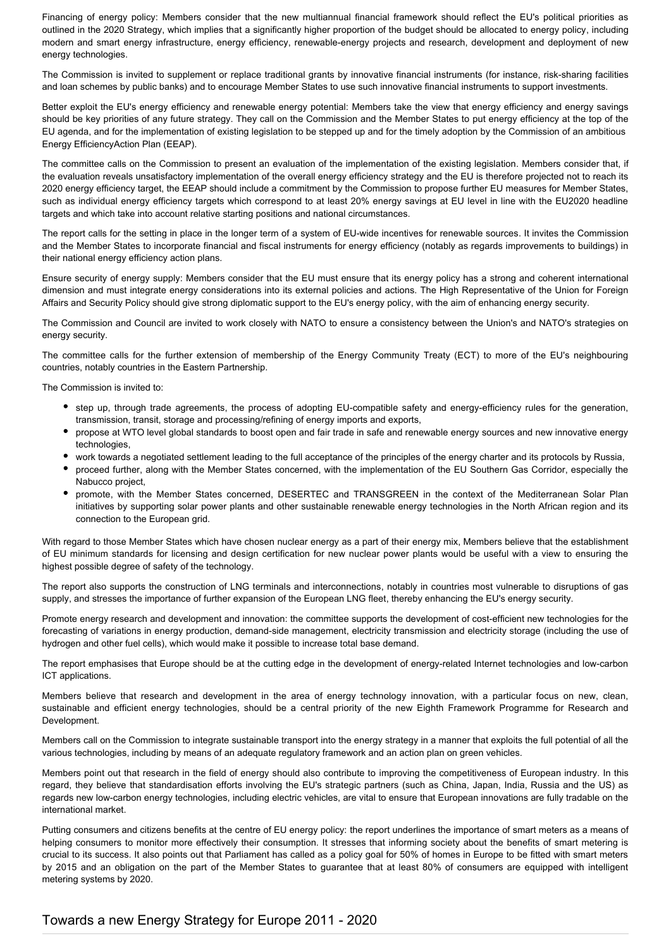Financing of energy policy: Members consider that the new multiannual financial framework should reflect the EU's political priorities as outlined in the 2020 Strategy, which implies that a significantly higher proportion of the budget should be allocated to energy policy, including modern and smart energy infrastructure, energy efficiency, renewable-energy projects and research, development and deployment of new energy technologies.

The Commission is invited to supplement or replace traditional grants by innovative financial instruments (for instance, risk-sharing facilities and loan schemes by public banks) and to encourage Member States to use such innovative financial instruments to support investments.

Better exploit the EU's energy efficiency and renewable energy potential: Members take the view that energy efficiency and energy savings should be key priorities of any future strategy. They call on the Commission and the Member States to put energy efficiency at the top of the EU agenda, and for the implementation of existing legislation to be stepped up and for the timely adoption by the Commission of an ambitious Energy EfficiencyAction Plan (EEAP).

The committee calls on the Commission to present an evaluation of the implementation of the existing legislation. Members consider that, if the evaluation reveals unsatisfactory implementation of the overall energy efficiency strategy and the EU is therefore projected not to reach its 2020 energy efficiency target, the EEAP should include a commitment by the Commission to propose further EU measures for Member States, such as individual energy efficiency targets which correspond to at least 20% energy savings at EU level in line with the EU2020 headline targets and which take into account relative starting positions and national circumstances.

The report calls for the setting in place in the longer term of a system of EU-wide incentives for renewable sources. It invites the Commission and the Member States to incorporate financial and fiscal instruments for energy efficiency (notably as regards improvements to buildings) in their national energy efficiency action plans.

Ensure security of energy supply: Members consider that the EU must ensure that its energy policy has a strong and coherent international dimension and must integrate energy considerations into its external policies and actions. The High Representative of the Union for Foreign Affairs and Security Policy should give strong diplomatic support to the EU's energy policy, with the aim of enhancing energy security.

The Commission and Council are invited to work closely with NATO to ensure a consistency between the Union's and NATO's strategies on energy security.

The committee calls for the further extension of membership of the Energy Community Treaty (ECT) to more of the EU's neighbouring countries, notably countries in the Eastern Partnership.

The Commission is invited to:

- step up, through trade agreements, the process of adopting EU-compatible safety and energy-efficiency rules for the generation, transmission, transit, storage and processing/refining of energy imports and exports,
- propose at WTO level global standards to boost open and fair trade in safe and renewable energy sources and new innovative energy technologies,
- work towards a negotiated settlement leading to the full acceptance of the principles of the energy charter and its protocols by Russia,
- proceed further, along with the Member States concerned, with the implementation of the EU Southern Gas Corridor, especially the Nabucco project,
- promote, with the Member States concerned, DESERTEC and TRANSGREEN in the context of the Mediterranean Solar Plan initiatives by supporting solar power plants and other sustainable renewable energy technologies in the North African region and its connection to the European grid.

With regard to those Member States which have chosen nuclear energy as a part of their energy mix, Members believe that the establishment of EU minimum standards for licensing and design certification for new nuclear power plants would be useful with a view to ensuring the highest possible degree of safety of the technology.

The report also supports the construction of LNG terminals and interconnections, notably in countries most vulnerable to disruptions of gas supply, and stresses the importance of further expansion of the European LNG fleet, thereby enhancing the EU's energy security.

Promote energy research and development and innovation: the committee supports the development of cost-efficient new technologies for the forecasting of variations in energy production, demand-side management, electricity transmission and electricity storage (including the use of hydrogen and other fuel cells), which would make it possible to increase total base demand.

The report emphasises that Europe should be at the cutting edge in the development of energy-related Internet technologies and low-carbon ICT applications.

Members believe that research and development in the area of energy technology innovation, with a particular focus on new, clean, sustainable and efficient energy technologies, should be a central priority of the new Eighth Framework Programme for Research and Development.

Members call on the Commission to integrate sustainable transport into the energy strategy in a manner that exploits the full potential of all the various technologies, including by means of an adequate regulatory framework and an action plan on green vehicles.

Members point out that research in the field of energy should also contribute to improving the competitiveness of European industry. In this regard, they believe that standardisation efforts involving the EU's strategic partners (such as China, Japan, India, Russia and the US) as regards new low-carbon energy technologies, including electric vehicles, are vital to ensure that European innovations are fully tradable on the international market.

Putting consumers and citizens benefits at the centre of EU energy policy: the report underlines the importance of smart meters as a means of helping consumers to monitor more effectively their consumption. It stresses that informing society about the benefits of smart metering is crucial to its success. It also points out that Parliament has called as a policy goal for 50% of homes in Europe to be fitted with smart meters by 2015 and an obligation on the part of the Member States to guarantee that at least 80% of consumers are equipped with intelligent metering systems by 2020.

## Towards a new Energy Strategy for Europe 2011 - 2020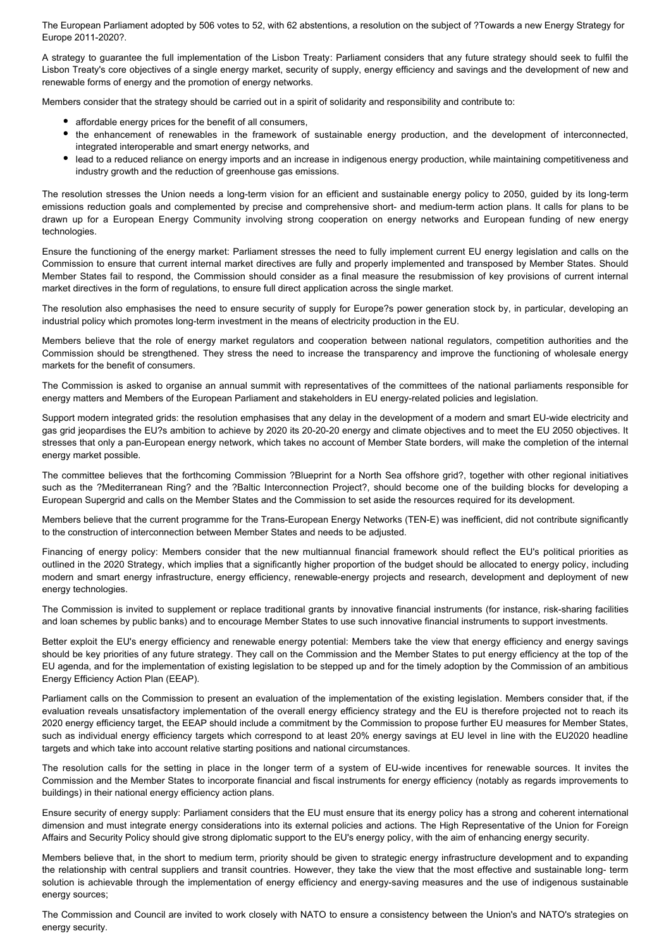The European Parliament adopted by 506 votes to 52, with 62 abstentions, a resolution on the subject of ?Towards a new Energy Strategy for Europe 2011-2020?.

A strategy to guarantee the full implementation of the Lisbon Treaty: Parliament considers that any future strategy should seek to fulfil the Lisbon Treaty's core objectives of a single energy market, security of supply, energy efficiency and savings and the development of new and renewable forms of energy and the promotion of energy networks.

Members consider that the strategy should be carried out in a spirit of solidarity and responsibility and contribute to:

- affordable energy prices for the benefit of all consumers,
- the enhancement of renewables in the framework of sustainable energy production, and the development of interconnected, integrated interoperable and smart energy networks, and
- lead to a reduced reliance on energy imports and an increase in indigenous energy production, while maintaining competitiveness and industry growth and the reduction of greenhouse gas emissions.

The resolution stresses the Union needs a long-term vision for an efficient and sustainable energy policy to 2050, guided by its long-term emissions reduction goals and complemented by precise and comprehensive short- and medium-term action plans. It calls for plans to be drawn up for a European Energy Community involving strong cooperation on energy networks and European funding of new energy technologies.

Ensure the functioning of the energy market: Parliament stresses the need to fully implement current EU energy legislation and calls on the Commission to ensure that current internal market directives are fully and properly implemented and transposed by Member States. Should Member States fail to respond, the Commission should consider as a final measure the resubmission of key provisions of current internal market directives in the form of regulations, to ensure full direct application across the single market.

The resolution also emphasises the need to ensure security of supply for Europe?s power generation stock by, in particular, developing an industrial policy which promotes long-term investment in the means of electricity production in the EU.

Members believe that the role of energy market regulators and cooperation between national regulators, competition authorities and the Commission should be strengthened. They stress the need to increase the transparency and improve the functioning of wholesale energy markets for the benefit of consumers.

The Commission is asked to organise an annual summit with representatives of the committees of the national parliaments responsible for energy matters and Members of the European Parliament and stakeholders in EU energy-related policies and legislation.

Support modern integrated grids: the resolution emphasises that any delay in the development of a modern and smart EU-wide electricity and gas grid jeopardises the EU?s ambition to achieve by 2020 its 20-20-20 energy and climate objectives and to meet the EU 2050 objectives. It stresses that only a pan-European energy network, which takes no account of Member State borders, will make the completion of the internal energy market possible.

The committee believes that the forthcoming Commission ?Blueprint for a North Sea offshore grid?, together with other regional initiatives such as the ?Mediterranean Ring? and the ?Baltic Interconnection Project?, should become one of the building blocks for developing a European Supergrid and calls on the Member States and the Commission to set aside the resources required for its development.

Members believe that the current programme for the Trans-European Energy Networks (TEN-E) was inefficient, did not contribute significantly to the construction of interconnection between Member States and needs to be adjusted.

Financing of energy policy: Members consider that the new multiannual financial framework should reflect the EU's political priorities as outlined in the 2020 Strategy, which implies that a significantly higher proportion of the budget should be allocated to energy policy, including modern and smart energy infrastructure, energy efficiency, renewable-energy projects and research, development and deployment of new energy technologies.

The Commission is invited to supplement or replace traditional grants by innovative financial instruments (for instance, risk-sharing facilities and loan schemes by public banks) and to encourage Member States to use such innovative financial instruments to support investments.

Better exploit the EU's energy efficiency and renewable energy potential: Members take the view that energy efficiency and energy savings should be key priorities of any future strategy. They call on the Commission and the Member States to put energy efficiency at the top of the EU agenda, and for the implementation of existing legislation to be stepped up and for the timely adoption by the Commission of an ambitious Energy Efficiency Action Plan (EEAP).

Parliament calls on the Commission to present an evaluation of the implementation of the existing legislation. Members consider that, if the evaluation reveals unsatisfactory implementation of the overall energy efficiency strategy and the EU is therefore projected not to reach its 2020 energy efficiency target, the EEAP should include a commitment by the Commission to propose further EU measures for Member States, such as individual energy efficiency targets which correspond to at least 20% energy savings at EU level in line with the EU2020 headline targets and which take into account relative starting positions and national circumstances.

The resolution calls for the setting in place in the longer term of a system of EU-wide incentives for renewable sources. It invites the Commission and the Member States to incorporate financial and fiscal instruments for energy efficiency (notably as regards improvements to buildings) in their national energy efficiency action plans.

Ensure security of energy supply: Parliament considers that the EU must ensure that its energy policy has a strong and coherent international dimension and must integrate energy considerations into its external policies and actions. The High Representative of the Union for Foreign Affairs and Security Policy should give strong diplomatic support to the EU's energy policy, with the aim of enhancing energy security.

Members believe that, in the short to medium term, priority should be given to strategic energy infrastructure development and to expanding the relationship with central suppliers and transit countries. However, they take the view that the most effective and sustainable long- term solution is achievable through the implementation of energy efficiency and energy-saving measures and the use of indigenous sustainable energy sources;

The Commission and Council are invited to work closely with NATO to ensure a consistency between the Union's and NATO's strategies on energy security.